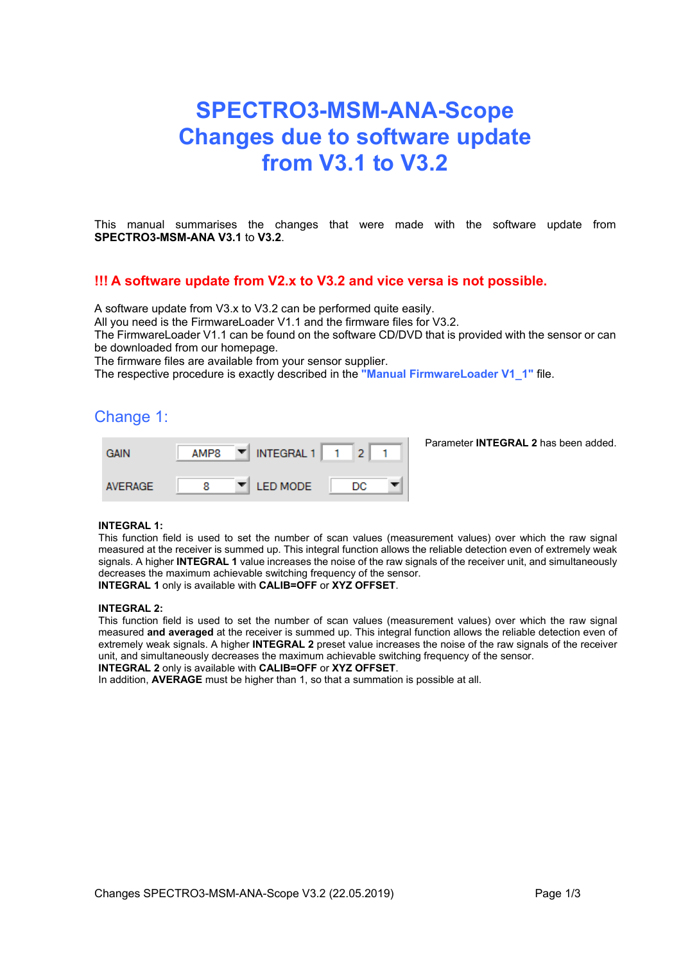# **SPECTRO3-MSM-ANA-Scope Changes due to software update from V3.1 to V3.2**

This manual summarises the changes that were made with the software update from **SPECTRO3-MSM-ANA V3.1** to **V3.2**.

### **!!! A software update from V2.x to V3.2 and vice versa is not possible.**

A software update from V3.x to V3.2 can be performed quite easily.

All you need is the FirmwareLoader V1.1 and the firmware files for V3.2.

The FirmwareLoader V1.1 can be found on the software CD/DVD that is provided with the sensor or can be downloaded from our homepage.

The firmware files are available from your sensor supplier.

The respective procedure is exactly described in the **"Manual FirmwareLoader V1\_1"** file.

### Change 1:

| <b>GAIN</b>    | AMP8 | $\P$ INTEGRAL 1               |     |  |
|----------------|------|-------------------------------|-----|--|
| <b>AVERAGE</b> |      | $\blacktriangledown$ LED MODE | DC. |  |

Parameter **INTEGRAL 2** has been added.

#### **INTEGRAL 1:**

This function field is used to set the number of scan values (measurement values) over which the raw signal measured at the receiver is summed up. This integral function allows the reliable detection even of extremely weak signals. A higher **INTEGRAL 1** value increases the noise of the raw signals of the receiver unit, and simultaneously decreases the maximum achievable switching frequency of the sensor. **INTEGRAL 1** only is available with **CALIB=OFF** or **XYZ OFFSET**.

#### **INTEGRAL 2:**

This function field is used to set the number of scan values (measurement values) over which the raw signal measured **and averaged** at the receiver is summed up. This integral function allows the reliable detection even of extremely weak signals. A higher **INTEGRAL 2** preset value increases the noise of the raw signals of the receiver unit, and simultaneously decreases the maximum achievable switching frequency of the sensor. **INTEGRAL 2** only is available with **CALIB=OFF** or **XYZ OFFSET**.

In addition, **AVERAGE** must be higher than 1, so that a summation is possible at all.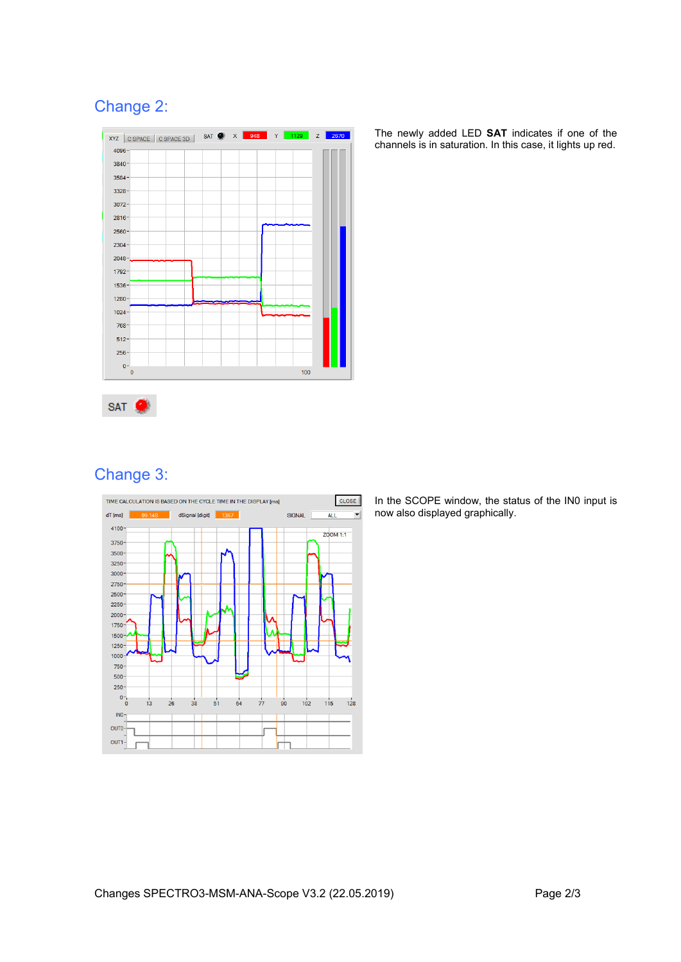## Change 2:



The newly added LED **SAT** indicates if one of the channels is in saturation. In this case, it lights up red.



# Change 3:



In the SCOPE window, the status of the IN0 input is now also displayed graphically.